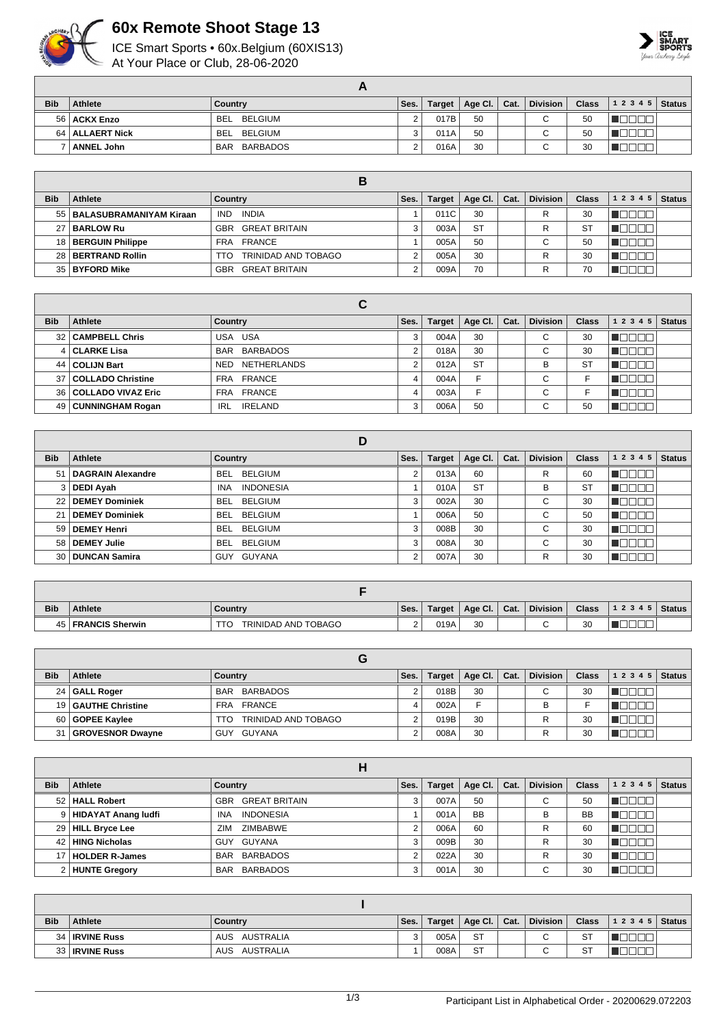

## **60x Remote Shoot Stage 13**

ICE Smart Sports • 60x.Belgium (60XIS13) At Your Place or Club, 28-06-2020



| <b>Bib</b> | Athlete           | Country               | Ses. | <b>Target</b> | Age Cl. | Cat. | <b>Division</b> | Class | $ 12345 $ Status |  |
|------------|-------------------|-----------------------|------|---------------|---------|------|-----------------|-------|------------------|--|
|            | 56   ACKX Enzo    | <b>BEL</b><br>BELGIUM |      | 017B          | 50      |      |                 | 50    |                  |  |
|            | 64   ALLAERT Nick | BELGIUM<br><b>BEL</b> |      | 011A          | 50      |      |                 | 50    |                  |  |
|            | <b>ANNEL John</b> | BARBADOS<br>BAR       |      | 016A          | 30      |      |                 | 30    |                  |  |

| <b>Bib</b> | Athlete                      | Country                            | Ses. | <b>Target</b> | Age Cl. $ $ | Cat. | <b>Division</b> | <b>Class</b> | 1 2 3 4 5 | <b>Status</b> |
|------------|------------------------------|------------------------------------|------|---------------|-------------|------|-----------------|--------------|-----------|---------------|
|            | 55   BALASUBRAMANIYAM Kiraan | INDIA<br><b>IND</b>                |      | 011C          | 30          |      | R               | 30           |           |               |
| 27         | '   BARLOW Ru                | <b>GREAT BRITAIN</b><br>GBR        |      | 003A          | <b>ST</b>   |      | R               | <b>ST</b>    |           |               |
|            | 18   BERGUIN Philippe        | FRA FRANCE                         |      | 005A          | 50          |      | $\sim$<br>v     | 50           |           |               |
|            | 28 BERTRAND Rollin           | TRINIDAD AND TOBAGO<br>TTO         |      | 005A          | 30          |      | R               | 30           |           |               |
|            | 35   BYFORD Mike             | <b>GREAT BRITAIN</b><br><b>GBR</b> |      | 009A          | 70          |      | R               | 70           |           |               |

|                 |                         | С                     |        |               |           |      |                          |              |           |               |
|-----------------|-------------------------|-----------------------|--------|---------------|-----------|------|--------------------------|--------------|-----------|---------------|
| <b>Bib</b>      | Athlete                 | Country               | Ses.   | <b>Target</b> | Age Cl.   | Cat. | <b>Division</b>          | <b>Class</b> | 1 2 3 4 5 | <b>Status</b> |
|                 | 32   CAMPBELL Chris     | USA USA               | 3      | 004A          | 30        |      | ⌒<br>U                   | 30           |           |               |
|                 | <b>CLARKE Lisa</b>      | BAR BARBADOS          | $\sim$ | 018A          | 30        |      | ⌒<br>U                   | 30           |           |               |
| 44 I            | <b>COLIJN Bart</b>      | NETHERLANDS<br>NED    | ີ      | 012A          | <b>ST</b> |      | B                        | ST           |           |               |
| 37 <sup>1</sup> | COLLADO Christine       | FRA FRANCE            | 4      | 004A          | F         |      | ⌒<br>U                   |              |           |               |
|                 | 36   COLLADO VIVAZ Eric | FRA FRANCE            |        | 003A          | F         |      | $\sim$<br>U              |              |           |               |
|                 | 49   CUNNINGHAM Rogan   | <b>IRELAND</b><br>IRL | 3      | 006A          | 50        |      | $\overline{\phantom{0}}$ | 50           |           |               |

|                 |                          | D                              |      |               |           |      |                 |              |                            |
|-----------------|--------------------------|--------------------------------|------|---------------|-----------|------|-----------------|--------------|----------------------------|
| <b>Bib</b>      | Athlete                  | Country                        | Ses. | <b>Target</b> | Age Cl.   | Cat. | <b>Division</b> | <b>Class</b> | 1 2 3 4 5<br><b>Status</b> |
| 51              | <b>DAGRAIN Alexandre</b> | <b>BEL</b><br>BELGIUM          | 2    | 013A          | 60        |      | R               | 60           | ┐г<br>a katika T<br>Ш.     |
| 3 I             | <b>DEDI Ayah</b>         | <b>INDONESIA</b><br><b>INA</b> |      | 010A          | <b>ST</b> |      | В               | <b>ST</b>    | חרור<br>a kat              |
| 22 <sub>1</sub> | <b>DEMEY Dominiek</b>    | <b>BEL</b><br><b>BELGIUM</b>   | 3    | 002A          | 30        |      | $\sim$<br>U     | 30           | ┐г<br>TOL<br>- II          |
| 21              | <b>DEMEY Dominiek</b>    | <b>BEL</b><br><b>BELGIUM</b>   |      | 006A          | 50        |      | $\sim$<br>U     | 50           | $\mathbf{I}$<br>الكا       |
| 59 <sub>1</sub> | <b>DEMEY Henri</b>       | <b>BEL</b><br>BELGIUM          | 3    | 008B          | 30        |      | С               | 30           | ┐г<br>- IT II              |
| 58 l            | <b>DEMEY Julie</b>       | <b>BELGIUM</b><br><b>BEL</b>   | 3    | 008A          | 30        |      | С               | 30           | T<br>TN F                  |
| 30              | <b>DUNCAN Samira</b>     | GUYANA<br>GUY                  | ◠    | 007A          | 30        |      | R               | 30           | Ш.<br>- IL I               |

| <b>Bib</b> | <b>Athlete</b>         | Country             | Ses.     | Target | Age Cl. | Cat. | <b>Division</b> | <b>Class</b> | 12345 | <b>Status</b> |
|------------|------------------------|---------------------|----------|--------|---------|------|-----------------|--------------|-------|---------------|
| 45         | <b>FRANCIS Sherwin</b> | TRINIDAD AND TOBAGO | <u>.</u> | 019A   | 30      |      | $\sim$          | 30           |       |               |

|            |                       | u                          |      |               |                 |      |                 |              |       |               |
|------------|-----------------------|----------------------------|------|---------------|-----------------|------|-----------------|--------------|-------|---------------|
| <b>Bib</b> | Athlete               | Country                    | Ses. | <b>Target</b> | Age Cl. $\vert$ | Cat. | <b>Division</b> | <b>Class</b> | 12345 | <b>Status</b> |
|            | 24 GALL Roger         | BARBADOS<br><b>BAR</b>     | ∼    | 018B          | 30              |      | $\sim$          | 30           |       |               |
|            | 19   GAUTHE Christine | FRANCE<br><b>FRA</b>       |      | 002A          |                 |      | B               |              |       |               |
|            | 60 GOPEE Kaylee       | TRINIDAD AND TOBAGO<br>TTO |      | 019B          | 30              |      |                 | 30           |       |               |
|            | 31   GROVESNOR Dwayne | GUYANA<br>GUY              | ⌒    | 008A          | 30              |      |                 | 30           |       |               |

|            |                       | п                              |            |               |             |      |                 |              |           |               |
|------------|-----------------------|--------------------------------|------------|---------------|-------------|------|-----------------|--------------|-----------|---------------|
| <b>Bib</b> | Athlete               | Country                        | Ses.       | <b>Target</b> | Age Cl. $ $ | Cat. | <b>Division</b> | <b>Class</b> | 1 2 3 4 5 | <b>Status</b> |
|            | 52   HALL Robert      | <b>GREAT BRITAIN</b><br>GBR    | 3          | 007A          | 50          |      | $\sim$<br>U     | 50           |           |               |
|            | 9 HIDAYAT Anang ludfi | <b>INDONESIA</b><br><b>INA</b> |            | 001A          | <b>BB</b>   |      | B               | <b>BB</b>    |           |               |
|            | 29   HILL Bryce Lee   | <b>ZIMBABWE</b><br>ZIM         |            | 006A          | 60          |      | R               | 60           |           |               |
|            | 42   HING Nicholas    | GUY GUYANA                     | 3          | 009B          | 30          |      | R               | 30           |           |               |
|            | 17   HOLDER R-James   | BAR BARBADOS                   | $\sqrt{2}$ | 022A          | 30          |      | R               | 30           |           |               |
|            | 2 HUNTE Gregory       | <b>BARBADOS</b><br><b>BAR</b>  | 3          | 001A          | 30          |      | ⌒<br>U          | 30           |           |               |

| <b>Bib</b> | <b>Athlete</b>        | Country       | Ses. | Target | Age Cl.   Cat. | <b>Division</b> | <b>Class</b> | $12345$ Status |  |
|------------|-----------------------|---------------|------|--------|----------------|-----------------|--------------|----------------|--|
|            | 34   IRVINE Russ      | AUS AUSTRALIA |      | 005A   | <b>ST</b>      | ⌒<br>U          | <b>ST</b>    |                |  |
|            | 33 <b>IRVINE Russ</b> | AUS AUSTRALIA |      | 008A   | <b>ST</b>      | ັ               | <b>ST</b>    |                |  |

1/3 Participant List in Alphabetical Order - 20200629.072203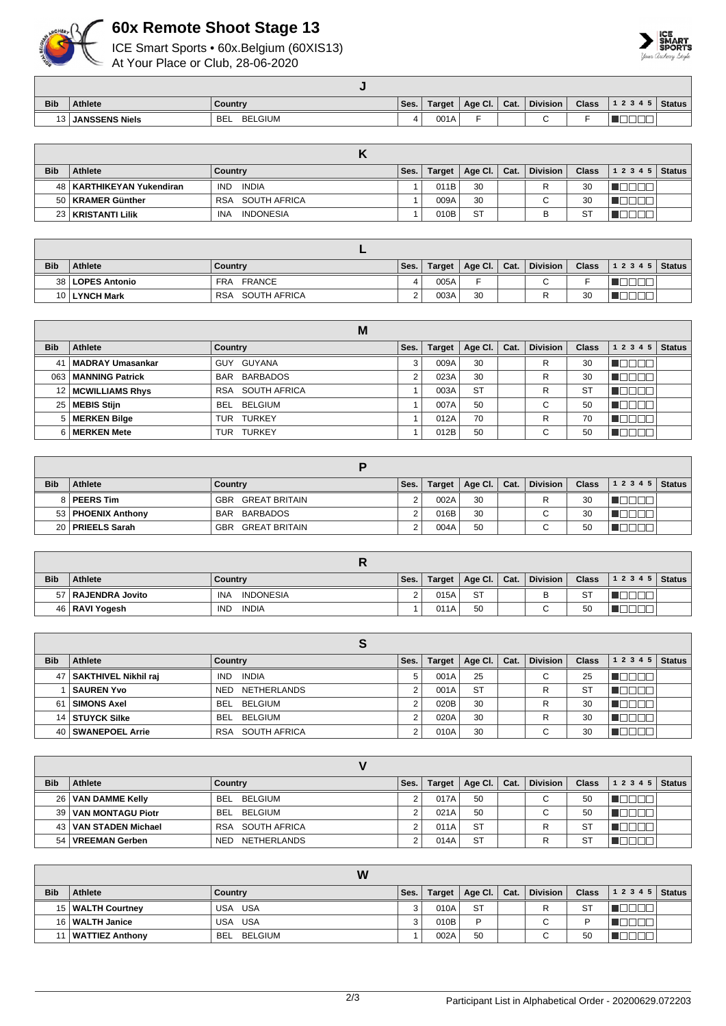

## **60x Remote Shoot Stage 13**

ICE Smart Sports • 60x.Belgium (60XIS13) At Your Place or Club, 28-06-2020



| <b>Bib</b> | <b>Athlete</b>        | Country               | Ses. | Target | Age CI.                  | Cat. | <b>Division</b> | <b>Class</b> | 1 2 3 4 5 | <b>Status</b> |
|------------|-----------------------|-----------------------|------|--------|--------------------------|------|-----------------|--------------|-----------|---------------|
| 12.        | <b>JANSSENS Niels</b> | <b>BELGIUM</b><br>BEL |      | 001A   | $\overline{\phantom{0}}$ |      |                 |              | ————      |               |

| <b>Bib</b> | <b>Athlete</b>              | Country                        | Ses. |      | Target   Age Cl.   Cat. | <b>Division</b> | <b>Class</b> | $12345$ Status |  |
|------------|-----------------------------|--------------------------------|------|------|-------------------------|-----------------|--------------|----------------|--|
|            | 48   KARTHIKEYAN Yukendiran | INDIA<br>IND.                  |      | 011B | 30                      |                 | 30           |                |  |
|            | 50   KRAMER Günther         | RSA SOUTH AFRICA               |      | 009A | 30                      | $\sim$<br>◡     | 30           |                |  |
|            | 23   KRISTANTI Lilik        | <b>INDONESIA</b><br><b>INA</b> |      | 010B | <b>ST</b>               | в               | -ST          |                |  |

| <b>Bib</b> | <b>Athlete</b>     | Country                     | Ses.     | Target | Age Cl. | Cat. | <b>Division</b> | <b>Class</b> | $12345$ Status |  |
|------------|--------------------|-----------------------------|----------|--------|---------|------|-----------------|--------------|----------------|--|
|            | 38   LOPES Antonio | <b>FRANCE</b><br><b>FRA</b> |          | 005A   |         |      |                 |              |                |  |
|            | 10 LYNCH Mark      | SOUTH AFRICA<br><b>RSA</b>  | <u>.</u> | 003A   | 30      |      |                 | 30           |                |  |

|            |                        | M                    |      |        |           |      |                 |              |           |               |
|------------|------------------------|----------------------|------|--------|-----------|------|-----------------|--------------|-----------|---------------|
| <b>Bib</b> | Athlete                | Country              | Ses. | Target | Age Cl.   | Cat. | <b>Division</b> | <b>Class</b> | 1 2 3 4 5 | <b>Status</b> |
| 41         | MADRAY Umasankar       | GUY GUYANA           |      | 009A   | 30        |      | R               | 30           |           |               |
| 063        | <b>MANNING Patrick</b> | BAR BARBADOS         | ີ    | 023A   | 30        |      | R               | 30           |           |               |
|            | 12   MCWILLIAMS Rhys   | SOUTH AFRICA<br>RSA  |      | 003A   | <b>ST</b> |      | R               | <b>ST</b>    |           |               |
|            | 25 MEBIS Stijn         | BEL BELGIUM          |      | 007A   | 50        |      | ⌒<br>U          | 50           |           |               |
|            | 5   MERKEN Bilge       | TURKEY<br>TUR        |      | 012A   | 70        |      | R               | 70           |           |               |
|            | 6   MERKEN Mete        | <b>TURKEY</b><br>TUR |      | 012B   | 50        |      | ⌒               | 50           |           |               |

| <b>Bib</b> | <b>Athlete</b>       | Country              | Ses. | Target | Age Cl. $\vert$ Cat. |  | <b>Division</b> | <b>Class</b> | 12345 | <b>Status</b> |
|------------|----------------------|----------------------|------|--------|----------------------|--|-----------------|--------------|-------|---------------|
|            | 8   PEERS Tim        | GREAT BRITAIN<br>GBR |      | 002A   | 30                   |  |                 | 30           |       |               |
|            | 53   PHOENIX Anthony | BAR BARBADOS         |      | 016B   | 30                   |  | $\sim$<br>U     | 30           |       |               |
|            | 20   PRIEELS Sarah   | GREAT BRITAIN<br>GBR |      | 004A   | 50                   |  | ⌒<br>U          | 50           |       |               |

| <b>Bib</b> | <b>Athlete</b>       | Country                        | Ses.           | Target | Age Cl. $\vert$ | $\mathsf{Cat}$ . | Division |     | Class $\begin{vmatrix} 1 & 2 & 3 & 4 & 5 \end{vmatrix}$ Status |  |
|------------|----------------------|--------------------------------|----------------|--------|-----------------|------------------|----------|-----|----------------------------------------------------------------|--|
|            | 57   RAJENDRA Jovito | <b>INA</b><br><b>INDONESIA</b> | $\overline{2}$ | 015A   | <b>ST</b>       |                  | ь        | -ST |                                                                |  |
|            | 46   RAVI Yogesh     | INDIA<br><b>IND</b>            |                | 011A   | 50              |                  |          | 50  |                                                                |  |

| <b>Bib</b> | Athlete                   | Country             | Ses. | Target | Age CI.   | Cat. | <b>Division</b> | <b>Class</b> | 1 2 3 4 5 | <b>Status</b> |
|------------|---------------------------|---------------------|------|--------|-----------|------|-----------------|--------------|-----------|---------------|
|            | 47   SAKTHIVEL Nikhil raj | INDIA<br>IND.       | 5    | 001A   | 25        |      | ⌒<br>U          | 25           |           |               |
|            | <b>SAUREN Yvo</b>         | NETHERLANDS<br>NED. |      | 001A   | <b>ST</b> |      |                 | -S1          |           |               |
| 61 I       | <b>SIMONS Axel</b>        | BEL BELGIUM         |      | 020B   | 30        |      | R               | 30           |           |               |
|            | 14 STUYCK Silke           | BEL BELGIUM         |      | 020A   | 30        |      | R               | 30           |           |               |
|            | 40 SWANEPOEL Arrie        | SOUTH AFRICA<br>RSA |      | 010A   | 30        |      | ⌒<br>U          | 30           |           |               |

| <b>Bib</b>      | <b>Athlete</b>          | Country                    | Ses. | <b>Target</b> | Age Cl.   | Cat. | <b>Division</b> | <b>Class</b> | 12345 | <b>Status</b> |
|-----------------|-------------------------|----------------------------|------|---------------|-----------|------|-----------------|--------------|-------|---------------|
| 26 <sup>1</sup> | VAN DAMME Kelly         | BELGIUM<br><b>BEL</b>      | ົ    | 017A          | 50        |      | $\sim$<br>U     | 50           |       |               |
| 39              | VAN MONTAGU Piotr       | <b>BELGIUM</b><br>BEL.     | ົ    | 021A          | 50        |      | ⌒<br>U          | 50           |       |               |
|                 | 43   VAN STADEN Michael | SOUTH AFRICA<br><b>RSA</b> | ົ    | 011A          | <b>ST</b> |      |                 | ST           |       |               |
| 54              | VREEMAN Gerben          | NETHERLANDS<br>NED.        |      | 014A          | <b>ST</b> |      | R               | -ST          |       |               |

| W          |                     |                       |      |        |                |  |                 |        |                |  |
|------------|---------------------|-----------------------|------|--------|----------------|--|-----------------|--------|----------------|--|
| <b>Bib</b> | <b>Athlete</b>      | Country               | Ses. | Target | Age Cl.   Cat. |  | <b>Division</b> | Class, | $12345$ Status |  |
|            | 15   WALTH Courtney | USA USA               |      | 010A   | <b>ST</b>      |  | ⋼               | ST     |                |  |
|            | 16   WALTH Janice   | USA USA               |      | 010B   | D              |  | $\mathbf \cdot$ |        |                |  |
| 11         | WATTIEZ Anthony     | BELGIUM<br><b>BEL</b> |      | 002A   | 50             |  | $\sim$<br>U     | 50     |                |  |